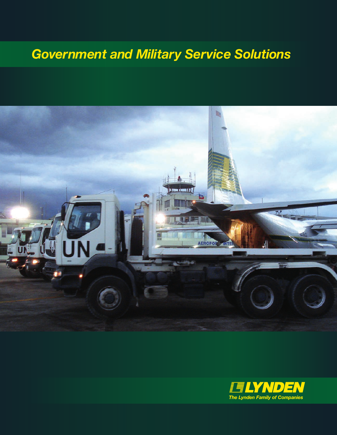## *Government and Military Service Solutions*